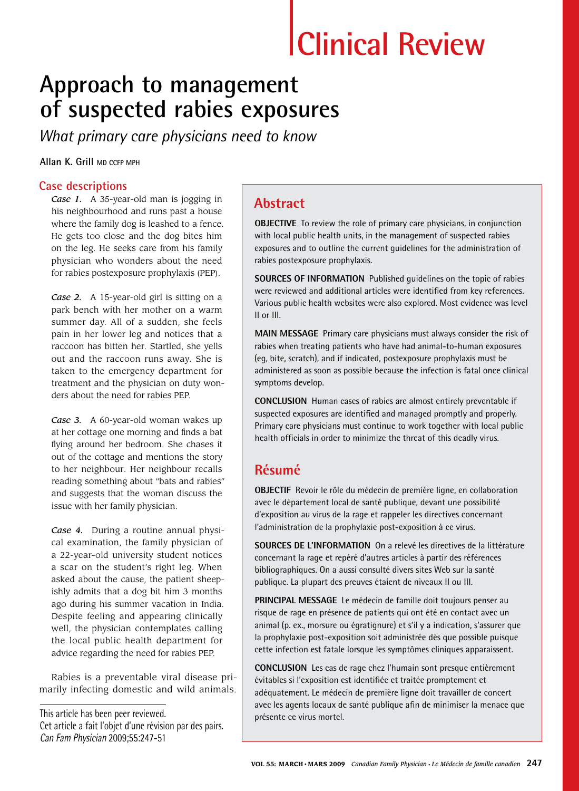# **Clinical Review**

# **Approach to management of suspected rabies exposures**

*What primary care physicians need to know*

**Allan K. Grill MD CCFP MPH**

#### **Case descriptions**

*Case 1.* A 35-year-old man is jogging in his neighbourhood and runs past a house where the family dog is leashed to a fence. He gets too close and the dog bites him on the leg. He seeks care from his family physician who wonders about the need for rabies postexposure prophylaxis (PEP).

*Case 2.* A 15-year-old girl is sitting on a park bench with her mother on a warm summer day. All of a sudden, she feels pain in her lower leg and notices that a raccoon has bitten her. Startled, she yells out and the raccoon runs away. She is taken to the emergency department for treatment and the physician on duty wonders about the need for rabies PEP.

*Case 3.* A 60-year-old woman wakes up at her cottage one morning and finds a bat flying around her bedroom. She chases it out of the cottage and mentions the story to her neighbour. Her neighbour recalls reading something about "bats and rabies" and suggests that the woman discuss the issue with her family physician.

*Case 4.* During a routine annual physical examination, the family physician of a 22-year-old university student notices a scar on the student's right leg. When asked about the cause, the patient sheepishly admits that a dog bit him 3 months ago during his summer vacation in India. Despite feeling and appearing clinically well, the physician contemplates calling the local public health department for advice regarding the need for rabies PEP.

Rabies is a preventable viral disease primarily infecting domestic and wild animals.

This article has been peer reviewed. Cet article a fait l'objet d'une révision par des pairs. Can Fam Physician 2009;55:247-51

# **Abstract**

**OBJECTIVE** To review the role of primary care physicians, in conjunction with local public health units, in the management of suspected rabies exposures and to outline the current guidelines for the administration of rabies postexposure prophylaxis.

**SOURCES OF INFORMATION** Published guidelines on the topic of rabies were reviewed and additional articles were identified from key references. Various public health websites were also explored. Most evidence was level II or III.

**MAIN MESSAGE** Primary care physicians must always consider the risk of rabies when treating patients who have had animal-to-human exposures (eg, bite, scratch), and if indicated, postexposure prophylaxis must be administered as soon as possible because the infection is fatal once clinical symptoms develop.

**CONCLUSION** Human cases of rabies are almost entirely preventable if suspected exposures are identified and managed promptly and properly. Primary care physicians must continue to work together with local public health officials in order to minimize the threat of this deadly virus.

# **Résumé**

**OBJECTIF** Revoir le rôle du médecin de première ligne, en collaboration avec le département local de santé publique, devant une possibilité d'exposition au virus de la rage et rappeler les directives concernant l'administration de la prophylaxie post-exposition à ce virus.

**SOURCES DE L'INFORMATION** On a relevé les directives de la littérature concernant la rage et repéré d'autres articles à partir des références bibliographiques. On a aussi consulté divers sites Web sur la santé publique. La plupart des preuves étaient de niveaux II ou III.

**PRINCIPAL MESSAGE** Le médecin de famille doit toujours penser au risque de rage en présence de patients qui ont été en contact avec un animal (p. ex., morsure ou égratignure) et s'il y a indication, s'assurer que la prophylaxie post-exposition soit administrée dès que possible puisque cette infection est fatale lorsque les symptômes cliniques apparaissent.

**CONCLUSION** Les cas de rage chez l'humain sont presque entièrement évitables si l'exposition est identifiée et traitée promptement et adéquatement. Le médecin de première ligne doit travailler de concert avec les agents locaux de santé publique afin de minimiser la menace que présente ce virus mortel.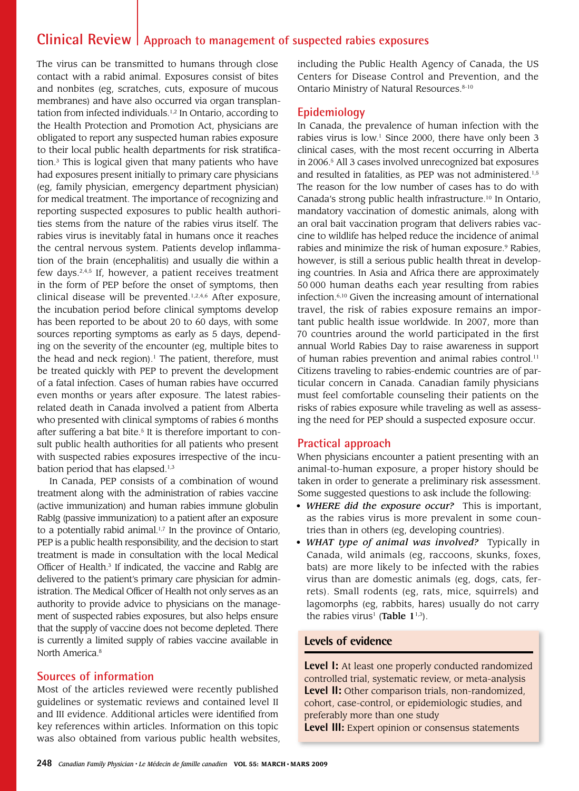# **Clinical Review Approach to management of suspected rabies exposures**

The virus can be transmitted to humans through close contact with a rabid animal. Exposures consist of bites and nonbites (eg, scratches, cuts, exposure of mucous membranes) and have also occurred via organ transplantation from infected individuals.<sup>1,2</sup> In Ontario, according to the Health Protection and Promotion Act, physicians are obligated to report any suspected human rabies exposure to their local public health departments for risk stratification.3 This is logical given that many patients who have had exposures present initially to primary care physicians (eg, family physician, emergency department physician) for medical treatment. The importance of recognizing and reporting suspected exposures to public health authorities stems from the nature of the rabies virus itself. The rabies virus is inevitably fatal in humans once it reaches the central nervous system. Patients develop inflammation of the brain (encephalitis) and usually die within a few days.2,4,5 If, however, a patient receives treatment in the form of PEP before the onset of symptoms, then clinical disease will be prevented.<sup>1,2,4,6</sup> After exposure, the incubation period before clinical symptoms develop has been reported to be about 20 to 60 days, with some sources reporting symptoms as early as 5 days, depending on the severity of the encounter (eg, multiple bites to the head and neck region). $<sup>1</sup>$  The patient, therefore, must</sup> be treated quickly with PEP to prevent the development of a fatal infection. Cases of human rabies have occurred even months or years after exposure. The latest rabiesrelated death in Canada involved a patient from Alberta who presented with clinical symptoms of rabies 6 months after suffering a bat bite.<sup>5</sup> It is therefore important to consult public health authorities for all patients who present with suspected rabies exposures irrespective of the incubation period that has elapsed.<sup>1,3</sup>

In Canada, PEP consists of a combination of wound treatment along with the administration of rabies vaccine (active immunization) and human rabies immune globulin RabIg (passive immunization) to a patient after an exposure to a potentially rabid animal.<sup>1,7</sup> In the province of Ontario, PEP is a public health responsibility, and the decision to start treatment is made in consultation with the local Medical Officer of Health.<sup>3</sup> If indicated, the vaccine and RabIg are delivered to the patient's primary care physician for administration. The Medical Officer of Health not only serves as an authority to provide advice to physicians on the management of suspected rabies exposures, but also helps ensure that the supply of vaccine does not become depleted. There is currently a limited supply of rabies vaccine available in North America<sup>8</sup>

#### **Sources of information**

Most of the articles reviewed were recently published guidelines or systematic reviews and contained level II and III evidence. Additional articles were identified from key references within articles. Information on this topic was also obtained from various public health websites, including the Public Health Agency of Canada, the US Centers for Disease Control and Prevention, and the Ontario Ministry of Natural Resources. 8-10

#### **Epidemiology**

In Canada, the prevalence of human infection with the rabies virus is low.<sup>1</sup> Since 2000, there have only been 3 clinical cases, with the most recent occurring in Alberta in 2006.5 All 3 cases involved unrecognized bat exposures and resulted in fatalities, as PEP was not administered.<sup>1,5</sup> The reason for the low number of cases has to do with Canada's strong public health infrastructure.10 In Ontario, mandatory vaccination of domestic animals, along with an oral bait vaccination program that delivers rabies vaccine to wildlife has helped reduce the incidence of animal rabies and minimize the risk of human exposure.<sup>9</sup> Rabies, however, is still a serious public health threat in developing countries. In Asia and Africa there are approximately 50 000 human deaths each year resulting from rabies infection.6,10 Given the increasing amount of international travel, the risk of rabies exposure remains an important public health issue worldwide. In 2007, more than 70 countries around the world participated in the first annual World Rabies Day to raise awareness in support of human rabies prevention and animal rabies control.<sup>11</sup> Citizens traveling to rabies-endemic countries are of particular concern in Canada. Canadian family physicians must feel comfortable counseling their patients on the risks of rabies exposure while traveling as well as assessing the need for PEP should a suspected exposure occur.

#### **Practical approach**

When physicians encounter a patient presenting with an animal-to-human exposure, a proper history should be taken in order to generate a preliminary risk assessment. Some suggested questions to ask include the following:

- *WHERE did the exposure occur?* This is important, as the rabies virus is more prevalent in some countries than in others (eg, developing countries).
- *WHAT type of animal was involved?* Typically in Canada, wild animals (eg, raccoons, skunks, foxes, bats) are more likely to be infected with the rabies virus than are domestic animals (eg, dogs, cats, ferrets). Small rodents (eg, rats, mice, squirrels) and lagomorphs (eg, rabbits, hares) usually do not carry the rabies virus<sup>1</sup> (Table  $1^{1,3}$ ).

#### **Levels of evidence**

**Level I:** At least one properly conducted randomized controlled trial, systematic review, or meta-analysis **Level II:** Other comparison trials, non-randomized, cohort, case-control, or epidemiologic studies, and preferably more than one study **Level III:** Expert opinion or consensus statements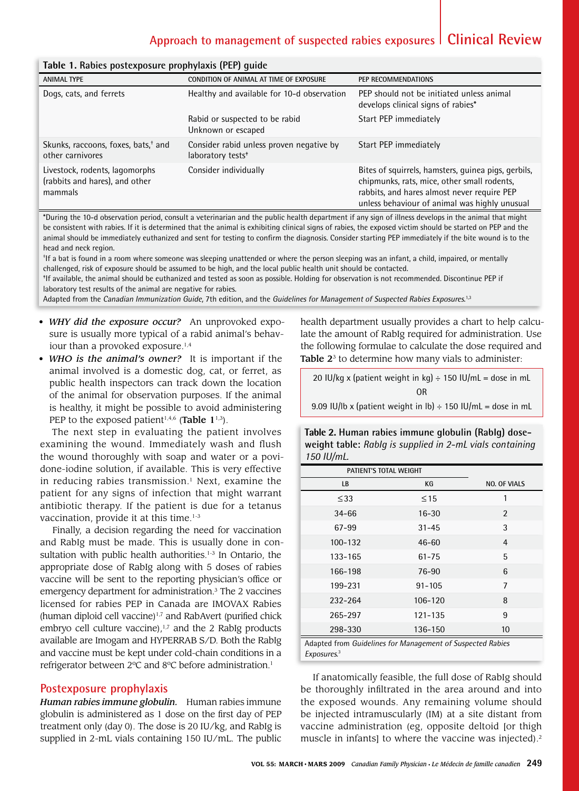# **Approach to management of suspected rabies exposures Clinical Review**

| raore in naores postemposare propri jiams (i Er j garac                     |                                                                           |                                                                                                                                                                                                    |  |
|-----------------------------------------------------------------------------|---------------------------------------------------------------------------|----------------------------------------------------------------------------------------------------------------------------------------------------------------------------------------------------|--|
| <b>ANIMAL TYPE</b>                                                          | CONDITION OF ANIMAL AT TIME OF EXPOSURE                                   | PEP RECOMMENDATIONS                                                                                                                                                                                |  |
| Dogs, cats, and ferrets                                                     | Healthy and available for 10-d observation                                | PEP should not be initiated unless animal<br>develops clinical signs of rabies*                                                                                                                    |  |
|                                                                             | Rabid or suspected to be rabid<br>Unknown or escaped                      | Start PEP immediately                                                                                                                                                                              |  |
| Skunks, raccoons, foxes, bats, <sup>+</sup> and<br>other carnivores         | Consider rabid unless proven negative by<br>laboratory tests <sup>*</sup> | Start PEP immediately                                                                                                                                                                              |  |
| Livestock, rodents, lagomorphs<br>(rabbits and hares), and other<br>mammals | Consider individually                                                     | Bites of squirrels, hamsters, guinea pigs, gerbils,<br>chipmunks, rats, mice, other small rodents,<br>rabbits, and hares almost never require PEP<br>unless behaviour of animal was highly unusual |  |

#### **Table 1. Rabies postexposure prophylaxis (PEP) guide**

\*During the 10-d observation period, consult a veterinarian and the public health department if any sign of illness develops in the animal that might be consistent with rabies. If it is determined that the animal is exhibiting clinical signs of rabies, the exposed victim should be started on PEP and the animal should be immediately euthanized and sent for testing to confirm the diagnosis. Consider starting PEP immediately if the bite wound is to the head and neck region.

† If a bat is found in a room where someone was sleeping unattended or where the person sleeping was an infant, a child, impaired, or mentally challenged, risk of exposure should be assumed to be high, and the local public health unit should be contacted.

‡ If available, the animal should be euthanized and tested as soon as possible. Holding for observation is not recommended. Discontinue PEP if laboratory test results of the animal are negative for rabies.

Adapted from the Canadian Immunization Guide, 7th edition, and the Guidelines for Management of Suspected Rabies Exposures.<sup>1,3</sup>

- *WHY did the exposure occur?* An unprovoked exposure is usually more typical of a rabid animal's behaviour than a provoked exposure.<sup>1,4</sup>
- *WHO is the animal's owner?* It is important if the animal involved is a domestic dog, cat, or ferret, as public health inspectors can track down the location of the animal for observation purposes. If the animal is healthy, it might be possible to avoid administering PEP to the exposed patient<sup>1,4,6</sup> (Table  $1^{1,3}$ ).

The next step in evaluating the patient involves examining the wound. Immediately wash and flush the wound thoroughly with soap and water or a povidone-iodine solution, if available. This is very effective in reducing rabies transmission.<sup>1</sup> Next, examine the patient for any signs of infection that might warrant antibiotic therapy. If the patient is due for a tetanus vaccination, provide it at this time. $1-3$ 

Finally, a decision regarding the need for vaccination and RabIg must be made. This is usually done in consultation with public health authorities.<sup>1-3</sup> In Ontario, the appropriate dose of RabIg along with 5 doses of rabies vaccine will be sent to the reporting physician's office or emergency department for administration.<sup>3</sup> The 2 vaccines licensed for rabies PEP in Canada are IMOVAX Rabies (human diploid cell vaccine) $1,7$  and RabAvert (purified chick embryo cell culture vaccine), $1,7$  and the 2 RabIg products available are Imogam and HYPERRAB S/D. Both the RabIg and vaccine must be kept under cold-chain conditions in a refrigerator between 2ºC and 8ºC before administration.1

#### **Postexposure prophylaxis**

*Human rabies immune globulin.* Human rabies immune globulin is administered as 1 dose on the first day of PEP treatment only (day 0). The dose is 20 IU/kg, and RabIg is supplied in 2-mL vials containing 150 IU/mL. The public

health department usually provides a chart to help calculate the amount of RabIg required for administration. Use the following formulae to calculate the dose required and Table  $2<sup>3</sup>$  to determine how many vials to administer:

| 20 IU/kg x (patient weight in kg) $\div$ 150 IU/mL = dose in mL   |  |  |  |
|-------------------------------------------------------------------|--|--|--|
| 0 <sub>R</sub>                                                    |  |  |  |
| 9.09 IU/Ib x (patient weight in lb) $\div$ 150 IU/mL = dose in mL |  |  |  |

**Table 2. Human rabies immune globulin (RabIg) doseweight table:** *RabIg is supplied in 2-mL vials containing 150 IU/mL.*

| PATIENT'S TOTAL WEIGHT |             |                     |
|------------------------|-------------|---------------------|
| LB                     | KG          | <b>NO. OF VIALS</b> |
| $\leq$ 33              | $\leq$ 15   | 1                   |
| $34 - 66$              | $16 - 30$   | $\mathfrak{p}$      |
| 67-99                  | $31 - 45$   | 3                   |
| $100 - 132$            | $46 - 60$   | $\overline{4}$      |
| 133-165                | $61 - 75$   | 5                   |
| 166-198                | 76-90       | 6                   |
| 199-231                | $91 - 105$  | $\overline{7}$      |
| 232-264                | $106 - 120$ | 8                   |
| 265-297                | $121 - 135$ | 9                   |
| 298-330                | 136-150     | 10                  |

Adapted from Guidelines for Management of Suspected Rabies Exposures. 3

If anatomically feasible, the full dose of RabIg should be thoroughly infiltrated in the area around and into the exposed wounds. Any remaining volume should be injected intramuscularly (IM) at a site distant from vaccine administration (eg, opposite deltoid [or thigh muscle in infants] to where the vaccine was injected).<sup>2</sup>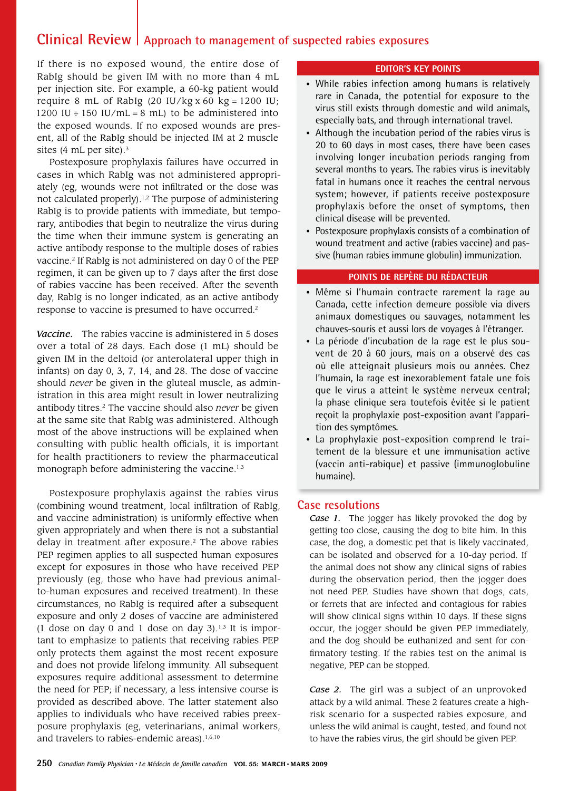# **Clinical Review** | Approach to management of suspected rabies exposures

If there is no exposed wound, the entire dose of RabIg should be given IM with no more than 4 mL per injection site. For example, a 60-kg patient would require 8 mL of RabIg (20 IU/kg x 60 kg = 1200 IU; 1200 IU  $\div$  150 IU/mL = 8 mL) to be administered into the exposed wounds. If no exposed wounds are present, all of the RabIg should be injected IM at 2 muscle sites (4 mL per site).<sup>3</sup>

Postexposure prophylaxis failures have occurred in cases in which RabIg was not administered appropriately (eg, wounds were not infiltrated or the dose was not calculated properly).<sup>1,2</sup> The purpose of administering RabIg is to provide patients with immediate, but temporary, antibodies that begin to neutralize the virus during the time when their immune system is generating an active antibody response to the multiple doses of rabies vaccine.2 If RabIg is not administered on day 0 of the PEP regimen, it can be given up to 7 days after the first dose of rabies vaccine has been received. After the seventh day, RabIg is no longer indicated, as an active antibody response to vaccine is presumed to have occurred.2

*Vaccine.* The rabies vaccine is administered in 5 doses over a total of 28 days. Each dose (1 mL) should be given IM in the deltoid (or anterolateral upper thigh in infants) on day 0, 3, 7, 14, and 28. The dose of vaccine should *never* be given in the gluteal muscle, as administration in this area might result in lower neutralizing antibody titres.2 The vaccine should also *never* be given at the same site that RabIg was administered. Although most of the above instructions will be explained when consulting with public health officials, it is important for health practitioners to review the pharmaceutical monograph before administering the vaccine.<sup>1,3</sup>

Postexposure prophylaxis against the rabies virus (combining wound treatment, local infiltration of RabIg, and vaccine administration) is uniformly effective when given appropriately and when there is not a substantial delay in treatment after exposure. $2$  The above rabies PEP regimen applies to all suspected human exposures except for exposures in those who have received PEP previously (eg, those who have had previous animalto-human exposures and received treatment). In these circumstances, no RabIg is required after a subsequent exposure and only 2 doses of vaccine are administered (1 dose on day 0 and 1 dose on day 3). $1,3$  It is important to emphasize to patients that receiving rabies PEP only protects them against the most recent exposure and does not provide lifelong immunity. All subsequent exposures require additional assessment to determine the need for PEP; if necessary, a less intensive course is provided as described above. The latter statement also applies to individuals who have received rabies preexposure prophylaxis (eg, veterinarians, animal workers, and travelers to rabies-endemic areas).<sup>1,6,10</sup>

#### **EDITOR'S KEY POINTS**

- While rabies infection among humans is relatively rare in Canada, the potential for exposure to the virus still exists through domestic and wild animals, especially bats, and through international travel.
- Although the incubation period of the rabies virus is 20 to 60 days in most cases, there have been cases involving longer incubation periods ranging from several months to years. The rabies virus is inevitably fatal in humans once it reaches the central nervous system; however, if patients receive postexposure prophylaxis before the onset of symptoms, then clinical disease will be prevented.
- Postexposure prophylaxis consists of a combination of wound treatment and active (rabies vaccine) and passive (human rabies immune globulin) immunization.

#### **Points de repère du rédacteur**

- Même si l'humain contracte rarement la rage au Canada, cette infection demeure possible via divers animaux domestiques ou sauvages, notamment les chauves-souris et aussi lors de voyages à l'étranger.
- La période d'incubation de la rage est le plus souvent de 20 à 60 jours, mais on a observé des cas où elle atteignait plusieurs mois ou années. Chez l'humain, la rage est inexorablement fatale une fois que le virus a atteint le système nerveux central; la phase clinique sera toutefois évitée si le patient reçoit la prophylaxie post-exposition avant l'apparition des symptômes.
- La prophylaxie post-exposition comprend le traitement de la blessure et une immunisation active (vaccin anti-rabique) et passive (immunoglobuline humaine).

#### **Case resolutions**

*Case 1.* The jogger has likely provoked the dog by getting too close, causing the dog to bite him. In this case, the dog, a domestic pet that is likely vaccinated, can be isolated and observed for a 10-day period. If the animal does not show any clinical signs of rabies during the observation period, then the jogger does not need PEP. Studies have shown that dogs, cats, or ferrets that are infected and contagious for rabies will show clinical signs within 10 days. If these signs occur, the jogger should be given PEP immediately, and the dog should be euthanized and sent for confirmatory testing. If the rabies test on the animal is negative, PEP can be stopped.

*Case 2.* The girl was a subject of an unprovoked attack by a wild animal. These 2 features create a highrisk scenario for a suspected rabies exposure, and unless the wild animal is caught, tested, and found not to have the rabies virus, the girl should be given PEP.